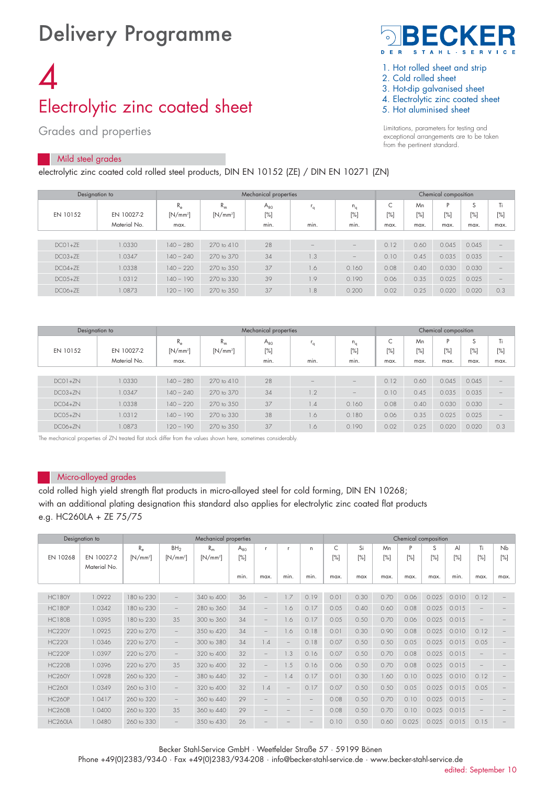# Delivery Programme

# 4 Electrolytic zinc coated sheet

Grades and properties

## Mild steel grades

electrolytic zinc coated cold rolled steel products, DIN EN 10152 (ZE) / DIN EN 10271 (ZN)



- 1. Hot rolled sheet and strip
- 2. Cold rolled sheet
- 3. Hot-dip galvanised sheet
- 4. Electrolytic zinc coated sheet
- 5. Hot aluminised sheet

Limitations, parameters for testing and exceptional arrangements are to be taken from the pertinent standard.

| Designation to |                            |                                                           |                       | Mechanical properties      | Chemical composition     |                          |                                            |                      |                     |                     |                          |
|----------------|----------------------------|-----------------------------------------------------------|-----------------------|----------------------------|--------------------------|--------------------------|--------------------------------------------|----------------------|---------------------|---------------------|--------------------------|
| EN 10152       | EN 10027-2<br>Material No. | $R_{\alpha}$<br>$R_m$<br>$[N/mm^2]$<br>$[N/mm^2]$<br>max. |                       | $A_{80}$<br>$[\%]$<br>min. | l q<br>min.              | $n_a$<br>$[\%]$<br>min.  | $\overline{\phantom{0}}$<br>$[\%]$<br>max. | Mn<br>$[\%]$<br>max. | P<br>$[\%]$<br>max. | S<br>$[\%]$<br>max. | Ti<br>$[\%]$<br>max.     |
|                |                            |                                                           |                       |                            |                          |                          |                                            |                      |                     |                     |                          |
| $DCO1+7F$      | 1.0330                     | $140 - 280$                                               | $270 \text{ to } 410$ | 28                         | $\overline{\phantom{a}}$ | $\qquad \qquad$          | 0.12                                       | 0.60                 | 0.045               | 0.045               | $\overline{\phantom{a}}$ |
| $DCO3+7F$      | 1.0347                     | $140 - 240$                                               | 270 to 370            | 34                         | 1.3                      | $\overline{\phantom{a}}$ | 0.10                                       | 0.45                 | 0.035               | 0.035               |                          |
| $DCO4+ZE$      | 1.0338                     | $140 - 220$                                               | 270 to 350            | 37                         | 1.6                      | 0.160                    | 0.08                                       | 0.40                 | 0.030               | 0.030               | $\qquad \qquad -$        |
| $DCO.5+7F$     | 1.0312                     | $140 - 190$                                               | 270 to 330            | 39                         | 1.9                      | 0.190                    | 0.06                                       | 0.35                 | 0.025               | 0.025               | $\overline{\phantom{a}}$ |
| $DCO6+ZE$      | 1.0873                     | $120 - 190$                                               | 270 to 350            | 37                         | $\overline{8}$ .         | 0.200                    | 0.02                                       | 0.25                 | 0.020               | 0.020               | 0.3                      |

|            | Designation to             |                                                    |                       | Mechanical properties      | Chemical composition |                         |                  |                      |                  |                     |                          |
|------------|----------------------------|----------------------------------------------------|-----------------------|----------------------------|----------------------|-------------------------|------------------|----------------------|------------------|---------------------|--------------------------|
| EN 10152   | EN 10027-2<br>Material No. | $R_m$<br>$R_e$<br>$[N/mm^2]$<br>$[N/mm^2]$<br>max. |                       | $A_{80}$<br>$[\%]$<br>min. | ۰.<br>min.           | $n_a$<br>$[\%]$<br>min. | C<br>[%]<br>max. | Mn<br>$[\%]$<br>max. | P<br>[%]<br>max. | S<br>$[\%]$<br>max. | Ti<br>$[\%]$<br>max.     |
|            |                            |                                                    |                       |                            |                      |                         |                  |                      |                  |                     |                          |
| $DCO1+7N$  | 1.0330                     | $140 - 280$                                        | $270 \text{ to } 410$ | 28                         |                      |                         | 0.12             | 0.60                 | 0.045            | 0.045               |                          |
| $DCO3+7N$  | 1.0347                     | $140 - 240$                                        | 270 to 370            | 34                         | 1.2                  |                         | 0.10             | 0.45                 | 0.035            | 0.035               | $\overline{\phantom{a}}$ |
| $DC04+7N$  | 1.0338                     | $140 - 220$                                        | 270 to 350            | 37                         | 1.4                  | 0.160                   | 0.08             | 0.40                 | 0.030            | 0.030               | $\overline{\phantom{a}}$ |
| $DCO.5+7N$ | 1.0312                     | $140 - 190$                                        | 270 to 330            | 38                         | 1.6                  | 0.180                   | 0.06             | 0.35                 | 0.025            | 0.025               | $\qquad \qquad$          |
| $DC06+ZN$  | 1.0873                     | $20 - 190$                                         | 270 to 3.50           | 37                         | 1.6                  | 0.190                   | 0.02             | 0.25                 | 0.020            | 0.020               | 0.3                      |

The mechanical properties of ZN treated flat stock differ from the values shown here, sometimes considerably.

#### Micro-alloyed grades

cold rolled high yield strength flat products in micro-alloyed steel for cold forming, DIN EN 10268; with an additional plating designation this standard also applies for electrolytic zinc coated flat products e.g. HC260LA + ZE 75/75

|                | Designation to             |                           |                               | Mechanical properties |                    |                   |                          |      | Chemical composition |              |           |          |             |           |                          |                          |  |
|----------------|----------------------------|---------------------------|-------------------------------|-----------------------|--------------------|-------------------|--------------------------|------|----------------------|--------------|-----------|----------|-------------|-----------|--------------------------|--------------------------|--|
| EN 10268       | EN 10027-2<br>Material No. | $R_{\rm e}$<br>$[N/mm^2]$ | BH <sub>2</sub><br>$[N/mm^2]$ | $R_m$<br>$[N/mm^2]$   | $A_{80}$<br>$[\%]$ | r.                | -r                       | n    | C<br>$[\%]$          | Si<br>$[\%]$ | Mn<br>[%] | P<br>[%] | S<br>$[\%]$ | Al<br>[%] | Ti<br>$[\%]$             | Nb<br>$[\%]$             |  |
|                |                            |                           |                               |                       | min.               | max.              | min.                     | min. | max.                 | max          | max.      | max.     | max.        | min.      | max.                     | max.                     |  |
|                |                            |                           |                               |                       |                    |                   |                          |      |                      |              |           |          |             |           |                          |                          |  |
| <b>HC180Y</b>  | 1.0922                     | 180 to 230                | $\qquad \qquad -$             | 340 to 400            | 36                 | $\qquad \qquad -$ | 1.7                      | 0.19 | 0.01                 | 0.30         | 0.70      | 0.06     | 0.025       | 0.010     | 0.12                     | $\overline{\phantom{a}}$ |  |
| HC180P         | 1.0342                     | 180 to 230                |                               | 280 to 360            | 34                 | $-$               | 1.6                      | 0.17 | 0.05                 | 0.40         | 0.60      | 0.08     | 0.025       | 0.015     |                          |                          |  |
| HC180B         | 1.0395                     | 180 to 230                | 35                            | 300 to 360            | 34                 |                   | 1.6                      | 0.17 | 0.05                 | 0.50         | 0.70      | 0.06     | 0.025       | 0.015     |                          |                          |  |
| <b>HC220Y</b>  | 1.0925                     | 220 to 270                | $\qquad \qquad -$             | 350 to 420            | 34                 | $\qquad \qquad -$ | 1.6                      | 0.18 | 0.01                 | 0.30         | 0.90      | 0.08     | 0.025       | 0.010     | 0.12                     |                          |  |
| <b>HC220I</b>  | 1.0346                     | 220 to 270                |                               | 300 to 380            | 34                 | 1.4               | $\overline{\phantom{a}}$ | 0.18 | 0.07                 | 0.50         | 0.50      | 0.05     | 0.025       | 0.015     | 0.05                     |                          |  |
| HC220P         | 1.0397                     | 220 to 270                | $\qquad \qquad -$             | 320 to 400            | 32                 | $\qquad \qquad -$ | 1.3                      | 0.16 | 0.07                 | 0.50         | 0.70      | 0.08     | 0.025       | 0.015     |                          |                          |  |
| <b>HC220B</b>  | 1.0396                     | 220 to 270                | 35                            | 320 to 400            | 32                 | $\qquad \qquad -$ | 1.5                      | 0.16 | 0.06                 | 0.50         | 0.70      | 0.08     | 0.025       | 0.015     | $\overline{\phantom{a}}$ |                          |  |
| <b>HC260Y</b>  | 1.0928                     | 260 to 320                |                               | 380 to 440            | 32                 |                   | 1.4                      | 0.17 | 0.01                 | 0.30         | 1.60      | 0.10     | 0.025       | 0.010     | 0.12                     |                          |  |
| <b>HC260I</b>  | 1.0349                     | 260 to 310                | $\qquad \qquad -$             | 320 to 400            | 32                 | 1.4               |                          | 0.17 | 0.07                 | 0.50         | 0.50      | 0.05     | 0.025       | 0.015     | 0.05                     |                          |  |
| <b>HC260P</b>  | 1.0417                     | 260 to 320                | $\qquad \qquad -$             | 360 to 440            | 29                 |                   |                          |      | 0.08                 | 0.50         | 0.70      | 0.10     | 0.025       | 0.015     |                          |                          |  |
| <b>HC260B</b>  | 1.0400                     | 260 to 320                | 35                            | 360 to 440            | 29                 |                   |                          |      | 0.08                 | 0.50         | 0.70      | 0.10     | 0.025       | 0.015     |                          |                          |  |
| <b>HC260LA</b> | 1.0480                     | 260 to 330                |                               | 350 to 430            | 26                 |                   |                          |      | 0.10                 | 0.50         | 0.60      | 0.025    | 0.025       | 0.015     | 0.15                     |                          |  |

Becker Stahl-Service GmbH · Weetfelder Straße 57 · 59199 Bönen

Phone +49(0)2383/934-0 · Fax +49(0)2383/934-208 · info@becker-stahl-service.de · www.becker-stahl-service.de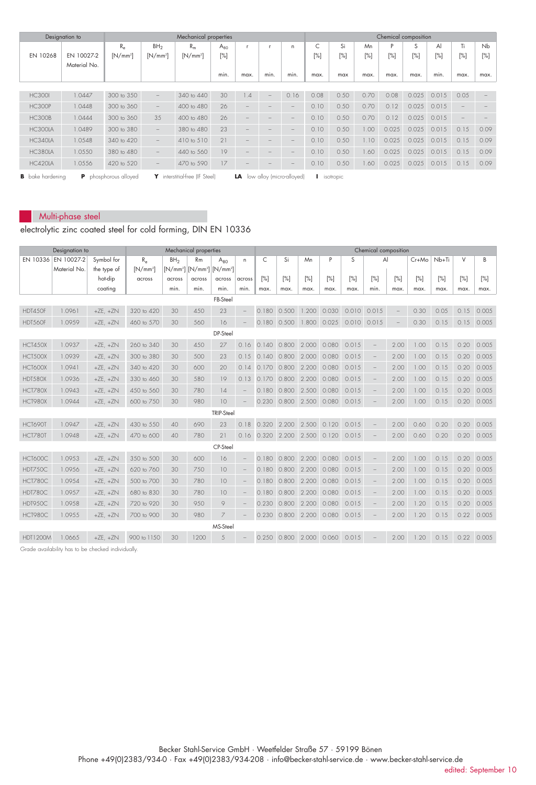|                         | Designation to |                              |                   | Mechanical properties |          |                           |                          |                          | Chemical composition |        |      |        |        |        |                          |        |  |  |
|-------------------------|----------------|------------------------------|-------------------|-----------------------|----------|---------------------------|--------------------------|--------------------------|----------------------|--------|------|--------|--------|--------|--------------------------|--------|--|--|
|                         |                | $R_{\rm e}$                  | BH <sub>2</sub>   | $R_m$                 | $A_{80}$ |                           |                          | n.                       |                      | Si     | Mn   | D      | S      | Al     | Ti                       | Nb     |  |  |
| EN 10268                | EN 10027-2     | $[N/mm^2]$                   | $[N/mm^2]$        | $[N/mm^2]$            | $[\%]$   |                           |                          |                          | $[\%]$               | $[\%]$ | [%]  | $[\%]$ | $[\%]$ | $[\%]$ | [%]                      | $[\%]$ |  |  |
|                         | Material No.   |                              |                   |                       |          |                           |                          |                          |                      |        |      |        |        |        |                          |        |  |  |
|                         |                |                              |                   |                       | min.     | max.                      | min.                     | min.                     | max.                 | max    | max. | max.   | max.   | min.   | max.                     | max.   |  |  |
|                         |                |                              |                   |                       |          |                           |                          |                          |                      |        |      |        |        |        |                          |        |  |  |
| <b>HC300I</b>           | 1.0447         | 300 to 350                   |                   | 340 to 440            | 30       | .4                        | $\overline{\phantom{m}}$ | 0.16                     | 0.08                 | 0.50   | 0.70 | 0.08   | 0.025  | 0.015  | 0.05                     |        |  |  |
| <b>HC300P</b>           | 1.0448         | 300 to 360                   | $\qquad \qquad -$ | 400 to 480            | 26       |                           |                          |                          | 0.10                 | 0.50   | 0.70 | 0.12   | 0.025  | 0.015  |                          |        |  |  |
| <b>HC300B</b>           | 1.0444         | 300 to 360                   | 3.5               | 400 to 480            | 26       |                           |                          | -                        | 0.10                 | 0.50   | 0.70 | 0.12   | 0.025  | 0.015  | $\overline{\phantom{a}}$ |        |  |  |
| HC300LA                 | 1.0489         | 300 to 380                   | $-$               | 380 to 480            | 23       | $\qquad \qquad$           |                          | $-$                      | 0.10                 | 0.50   | 00.1 | 0.025  | 0.025  | 0.015  | 0.15                     | 0.09   |  |  |
| HC340LA                 | 1.0548         | 340 to 420                   | $\qquad \qquad -$ | 410 to 510            | 21       |                           |                          |                          | 0.10                 | 0.50   | 1.10 | 0.025  | 0.025  | 0.015  | 0.15                     | 0.09   |  |  |
| HC380LA                 | 1.0550         | 380 to 480                   | $-$               | 440 to 560            | 19       |                           |                          | $\overline{\phantom{0}}$ | 0.10                 | 0.50   | .60  | 0.025  | 0.025  | 0.015  | 0.15                     | 0.09   |  |  |
| HC420LA                 | 1.0556         | 420 to 520                   | $\qquad \qquad -$ | 470 to 590            | 17       |                           |                          |                          | 0.10                 | 0.50   | .60  | 0.025  | 0.025  | 0.015  | 0.15                     | 0.09   |  |  |
| <b>B</b> bake hardening |                | interstitial-free (IF Steel) |                   | LA                    |          | low alloy (micro-alloyed) | isotropic                |                          |                      |        |      |        |        |        |                          |        |  |  |

## Multi-phase steel

electrolytic zinc coated steel for cold forming, DIN EN 10336

|                 | Designation to      | Mechanical properties |              |                 |                                  |                   |                          | Chemical composition |                 |                                    |       |             |                                 |      |         |       |      |                    |
|-----------------|---------------------|-----------------------|--------------|-----------------|----------------------------------|-------------------|--------------------------|----------------------|-----------------|------------------------------------|-------|-------------|---------------------------------|------|---------|-------|------|--------------------|
|                 | EN 10336 EN 10027-2 | Symbol for            | $R_{\alpha}$ | BH <sub>2</sub> | <b>Rm</b>                        | $A_{80}$          | n.                       | $\mathsf{C}$         | Si              | Mn                                 | P     | S           | Al                              |      | $Cr+Mo$ | Nb+Ti | V    | B                  |
|                 | Material No.        | the type of           | $[N/mm^2]$   |                 | $[N/mm^2]$ $[N/mm^2]$ $[N/mm^2]$ |                   |                          |                      |                 |                                    |       |             |                                 |      |         |       |      |                    |
|                 |                     | hot-dip               | across       | across<br>min.  | across<br>min.                   | across<br>min.    | across<br>min.           | [%]                  | [%]             | [%]                                | [%]   | $[\%]$      | [%]<br>min.                     | [%]  | [%]     | [%]   | [%]  | [%]                |
|                 |                     | coating               |              |                 |                                  |                   |                          | max.                 | max.            | max.                               | max.  | max.        |                                 | max. | max.    | max.  | max. | max.               |
| FB-Steel        |                     |                       |              |                 |                                  |                   |                          |                      |                 |                                    |       |             |                                 |      |         |       |      |                    |
| HDT450F         | 1.0961              | $+ZE, +ZN$            | 320 to 420   | 30              | 450                              | 23                |                          | 0.180                | 0.500           | 1.200                              | 0.030 | 0.010       | 0.015                           |      | 0.30    | 0.05  | 0.15 | 0.005              |
| HDT560F         | 1.0959              | $+ZE, +ZN$            | 460 to 570   | 30              | 560                              | 16                |                          |                      | $0.180$ $0.500$ | 1.800 0.025                        |       | 0.010 0.015 |                                 |      | 0.30    | 0.15  | 0.15 | 0.005              |
|                 |                     |                       |              |                 |                                  | DP-Steel          |                          |                      |                 |                                    |       |             |                                 |      |         |       |      |                    |
| <b>HCT450X</b>  | 1.0937              | $+ZE, +ZN$            | 260 to 340   | 30              | 450                              | 27                | 0.16                     |                      | $0.140$ $0.800$ | 2.000                              | 0.080 | 0.015       | $\overline{\phantom{a}}$        | 2.00 | 1.00    | 0.15  | 0.20 | 0.005              |
| HCT500X         | 1.0939              | $+ZE, +ZN$            | 300 to 380   | 30              | 500                              | 23                | 0.15                     |                      |                 | 0.140 0.800 2.000 0.080            |       | 0.015       |                                 | 2.00 | 1.00    | 0.15  | 0.20 | 0.005              |
| HCT600X         | 1.0941              | $+ZE, +ZN$            | 340 to 420   | 30              | 600                              | 20                | 0.14                     |                      | 0.170 0.800     | 2.200                              | 0.080 | 0.015       | $\overline{\phantom{a}}$        | 2.00 | 1.00    | 0.15  | 0.20 | 0.005              |
| HDT580X         | 1.0936              | $+ZE, +ZN$            | 330 to 460   | 30              | 580                              | 19                | 0.13                     | 0.170                | 0.800           | 2.200                              | 0.080 | 0.015       |                                 | 2.00 | 1.00    | 0.15  | 0.20 | 0.005              |
| <b>HCT780X</b>  | 1.0943              | $+ZE, +ZN$            | 450 to 560   | 30              | 780                              | 14                | $\qquad \qquad -$        | 0.180                | 0.800           | 2.500 0.080                        |       | 0.015       | $\hspace{0.1mm}-\hspace{0.1mm}$ | 2.00 | 1.00    | 0.15  | 0.20 | 0.005              |
| HCT980X         | 1.0944              | $+ZE, +ZN$            | 600 to 750   | 30              | 980                              | 10                |                          | 0.230                |                 | 0.800 2.500 0.080                  |       | 0.015       |                                 | 2.00 | 1.00    | 0.15  | 0.20 | 0.005              |
|                 |                     |                       |              |                 |                                  | <b>TRIP-Steel</b> |                          |                      |                 |                                    |       |             |                                 |      |         |       |      |                    |
| HCT690T         | 1.0947              | $+ZE. +ZN$            | 430 to 550   | 40              | 690                              | 23                | 0.18                     |                      |                 | 0.320 2.200 2.500 0.120 0.015      |       |             | $\overline{\phantom{m}}$        | 2.00 | 0.60    | 0.20  | 0.20 | 0.005              |
| HCT780T         | 1.0948              | $+ZE, +ZN$            | 470 to 600   | 40              | 780                              | 21                |                          |                      |                 | 0.16 0.320 2.200 2.500 0.120 0.015 |       |             |                                 | 2.00 | 0.60    | 0.20  |      | $0.20 \quad 0.005$ |
|                 |                     |                       |              |                 |                                  | CP-Steel          |                          |                      |                 |                                    |       |             |                                 |      |         |       |      |                    |
| HCT600C         | 1.0953              | $+ZE, +ZN$            | 350 to 500   | 30              | 600                              | 16                | $\qquad \qquad -$        |                      | $0.180$ $0.800$ | 2.200 0.080                        |       | 0.015       | $\overline{\phantom{m}}$        | 2.00 | 1.00    | 0.15  | 0.20 | 0.005              |
| <b>HDT750C</b>  | 1.0956              | $+ZE, +ZN$            | 620 to 760   | 30              | 750                              | 10                | $\overline{\phantom{a}}$ | 0.180                | 0.800           | 2.200                              | 0.080 | 0.015       | $\overline{\phantom{a}}$        | 2.00 | 1.00    | 0.15  | 0.20 | 0.005              |
| HCT780C         | 1.0954              | $+ZE, +ZN$            | 500 to 700   | 30              | 780                              | 10                | $\overline{\phantom{a}}$ | 0.180                | 0.800           | 2.200                              | 0.080 | 0.015       | $\hspace{0.1mm}-\hspace{0.1mm}$ | 2.00 | 1.00    | 0.15  | 0.20 | 0.005              |
| <b>HDT780C</b>  | 1.0957              | $+ZE, +ZN$            | 680 to 830   | 30              | 780                              | 10                | $\overline{\phantom{a}}$ |                      |                 | 0.180  0.800  2.200  0.080         |       | 0.015       | $\overline{\phantom{a}}$        | 2.00 | 1.00    | 0.15  | 0.20 | 0.005              |
| HDT950C         | 1.0958              | $+ZE. +ZN$            | 720 to 920   | 30              | 950                              | 9                 | $\overline{\phantom{a}}$ | 0.230                | 0.800           | 2.200                              | 0.080 | 0.015       | $\overline{\phantom{a}}$        | 2.00 | 1.20    | 0.15  | 0.20 | 0.005              |
| HCT980C         | 1.0955              | $+ZE, +ZN$            | 700 to 900   | 30              | 980                              | $\overline{7}$    |                          |                      |                 | 0.230 0.800 2.200 0.080            |       | 0.015       |                                 | 2.00 | 1.20    | 0.15  |      | $0.22 \quad 0.005$ |
|                 |                     |                       |              |                 |                                  | MS-Steel          |                          |                      |                 |                                    |       |             |                                 |      |         |       |      |                    |
| <b>HDT1200M</b> | 1.0665              | $+ZE, +ZN$            | 900 to 1150  | 30 <sup>°</sup> | 1200                             | .5                |                          |                      |                 | 0.250 0.800 2.000 0.060 0.015      |       |             |                                 | 2.00 | 1.20    | 0.15  |      | $0.22 \quad 0.005$ |

Grade availability has to be checked individually.